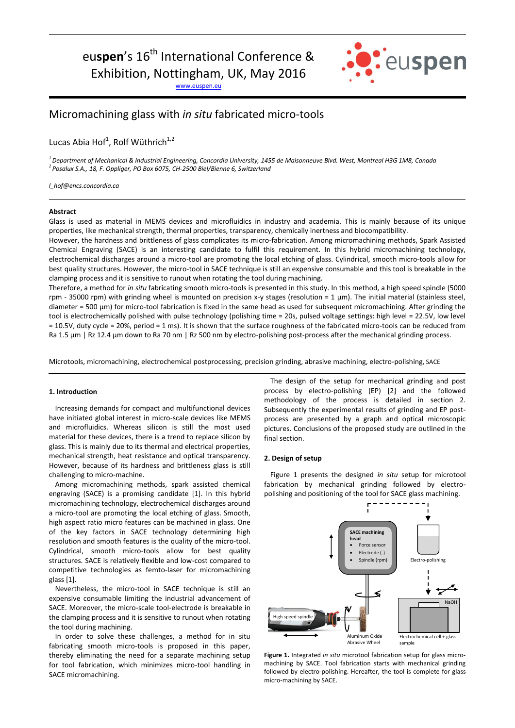# eu**spen**'s 16<sup>th</sup> International Conference & Exhibition, Nottingham, UK, May 2016

[www.euspen.eu](http://www.euspen.eu/)



## Micromachining glass with *in situ* fabricated micro-tools

Lucas Abia Hof<sup>1</sup>, Rolf Wüthrich<sup>1,2</sup>

*<sup>1</sup>Department of Mechanical & Industrial Engineering, Concordia University, 1455 de Maisonneuve Blvd. West, Montreal H3G 1M8, Canada <sup>2</sup>Posalux S.A., 18, F. Oppliger, PO Box 6075, CH-2500 Biel/Bienne 6, Switzerland*

*l\_hof@encs.concordia.ca*

#### **Abstract**

Glass is used as material in MEMS devices and microfluidics in industry and academia. This is mainly because of its unique properties, like mechanical strength, thermal properties, transparency, chemically inertness and biocompatibility.

However, the hardness and brittleness of glass complicates its micro-fabrication. Among micromachining methods, Spark Assisted Chemical Engraving (SACE) is an interesting candidate to fulfil this requirement. In this hybrid micromachining technology, electrochemical discharges around a micro-tool are promoting the local etching of glass. Cylindrical, smooth micro-tools allow for best quality structures. However, the micro-tool in SACE technique is still an expensive consumable and this tool is breakable in the clamping process and it is sensitive to runout when rotating the tool during machining.

Therefore, a method for *in situ* fabricating smooth micro-tools is presented in this study. In this method, a high speed spindle (5000 rpm - 35000 rpm) with grinding wheel is mounted on precision x-y stages (resolution = 1  $\mu$ m). The initial material (stainless steel, diameter = 500 µm) for micro-tool fabrication is fixed in the same head as used for subsequent micromachining. After grinding the tool is electrochemically polished with pulse technology (polishing time = 20s, pulsed voltage settings: high level = 22.5V, low level = 10.5V, duty cycle = 20%, period = 1 ms). It is shown that the surface roughness of the fabricated micro-tools can be reduced from Ra 1.5 µm | Rz 12.4 µm down to Ra 70 nm | Rz 500 nm by electro-polishing post-process after the mechanical grinding process.

Microtools, micromachining, electrochemical postprocessing, precision grinding, abrasive machining, electro-polishing, SACE

#### **1. Introduction**

Increasing demands for compact and multifunctional devices have initiated global interest in micro-scale devices like MEMS and microfluidics. Whereas silicon is still the most used material for these devices, there is a trend to replace silicon by glass. This is mainly due to its thermal and electrical properties, mechanical strength, heat resistance and optical transparency. However, because of its hardness and brittleness glass is still challenging to micro-machine.

Among micromachining methods, spark assisted chemical engraving (SACE) is a promising candidate [1]. In this hybrid micromachining technology, electrochemical discharges around a micro-tool are promoting the local etching of glass. Smooth, high aspect ratio micro features can be machined in glass. One of the key factors in SACE technology determining high resolution and smooth features is the quality of the micro-tool. Cylindrical, smooth micro-tools allow for best quality structures. SACE is relatively flexible and low-cost compared to competitive technologies as femto-laser for micromachining glass [1].

Nevertheless, the micro-tool in SACE technique is still an expensive consumable limiting the industrial advancement of SACE. Moreover, the micro-scale tool-electrode is breakable in the clamping process and it is sensitive to runout when rotating the tool during machining.

In order to solve these challenges, a method for in situ fabricating smooth micro-tools is proposed in this paper, thereby eliminating the need for a separate machining setup for tool fabrication, which minimizes micro-tool handling in SACE micromachining.

The design of the setup for mechanical grinding and post process by electro-polishing (EP) [2] and the followed methodology of the process is detailed in section 2. Subsequently the experimental results of grinding and EP postprocess are presented by a graph and optical microscopic pictures. Conclusions of the proposed study are outlined in the final section.

#### **2. Design of setup**

Figure 1 presents the designed *in situ* setup for microtool fabrication by mechanical grinding followed by electropolishing and positioning of the tool for SACE glass machining.



**Figure 1.** Integrated *in situ* microtool fabrication setup for glass micromachining by SACE. Tool fabrication starts with mechanical grinding followed by electro-polishing. Hereafter, the tool is complete for glass micro-machining by SACE.